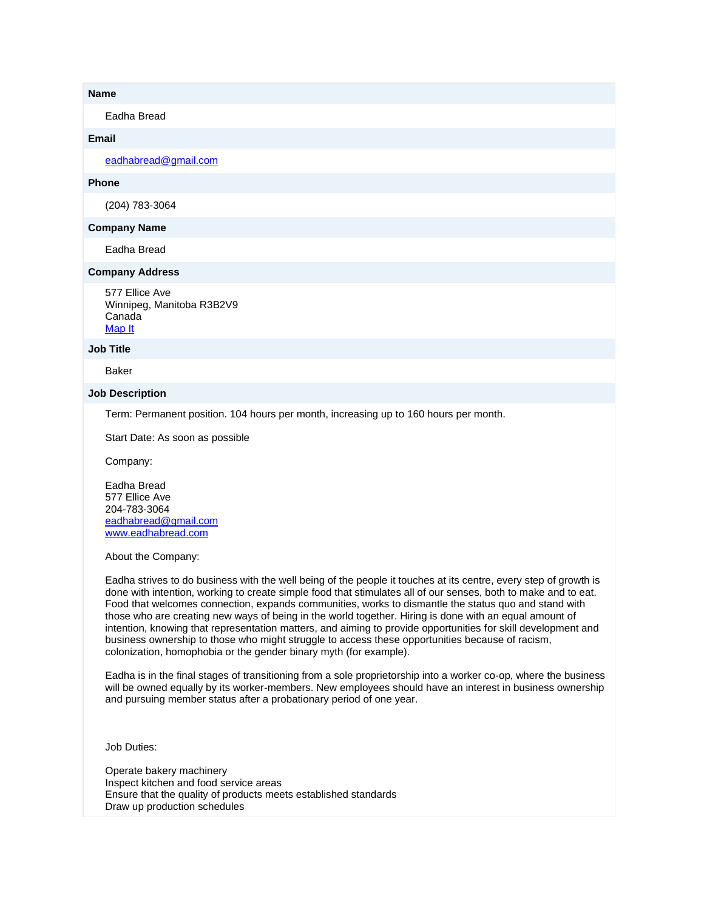### **Name**

Eadha Bread

## **Email**

[eadhabread@gmail.com](mailto:eadhabread@gmail.com)

# **Phone**

(204) 783-3064

### **Company Name**

Eadha Bread

# **Company Address**

577 Ellice Ave Winnipeg, Manitoba R3B2V9 Canada [Map It](http://maps.google.com/maps?q=577+Ellice+Ave+Winnipeg%2C+Manitoba+R3B2V9+Canada)

#### **Job Title**

Baker

#### **Job Description**

Term: Permanent position. 104 hours per month, increasing up to 160 hours per month.

Start Date: As soon as possible

Company:

Eadha Bread 577 Ellice Ave 204-783-3064 [eadhabread@gmail.com](mailto:eadhabread@gmail.com) [www.eadhabread.com](http://www.eadhabread.com/)

About the Company:

Eadha strives to do business with the well being of the people it touches at its centre, every step of growth is done with intention, working to create simple food that stimulates all of our senses, both to make and to eat. Food that welcomes connection, expands communities, works to dismantle the status quo and stand with those who are creating new ways of being in the world together. Hiring is done with an equal amount of intention, knowing that representation matters, and aiming to provide opportunities for skill development and business ownership to those who might struggle to access these opportunities because of racism, colonization, homophobia or the gender binary myth (for example).

Eadha is in the final stages of transitioning from a sole proprietorship into a worker co-op, where the business will be owned equally by its worker-members. New employees should have an interest in business ownership and pursuing member status after a probationary period of one year.

Job Duties:

Operate bakery machinery Inspect kitchen and food service areas Ensure that the quality of products meets established standards Draw up production schedules